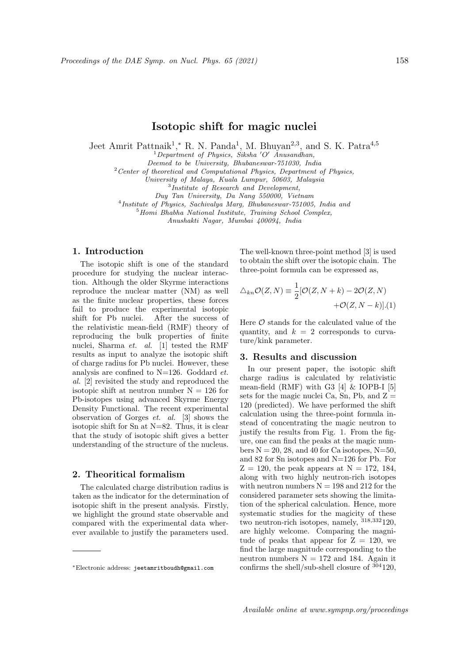# Isotopic shift for magic nuclei

Jeet Amrit Pattnaik<sup>1</sup>,\* R. N. Panda<sup>1</sup>, M. Bhuyan<sup>2,3</sup>, and S. K. Patra<sup>4,5</sup>

 $1$ Department of Physics, Siksha 'O' Anusandhan,

Deemed to be University, Bhubaneswar-751030, India

 $2$  Center of theoretical and Computational Physics, Department of Physics,

University of Malaya, Kuala Lumpur, 50603, Malaysia

3 Institute of Research and Development,

Duy Tan University, Da Nang 550000, Vietnam

4 Institute of Physics, Sachivalya Marg, Bhubaneswar-751005, India and

 $5$ Homi Bhabha National Institute, Training School Complex,

Anushakti Nagar, Mumbai 400094, India

#### 1. Introduction

The isotopic shift is one of the standard procedure for studying the nuclear interaction. Although the older Skyrme interactions reproduce the nuclear matter (NM) as well as the finite nuclear properties, these forces fail to produce the experimental isotopic shift for Pb nuclei. After the success of the relativistic mean-field (RMF) theory of reproducing the bulk properties of finite nuclei, Sharma et. al. [1] tested the RMF results as input to analyze the isotopic shift of charge radius for Pb nuclei. However, these analysis are confined to N=126. Goddard et. al. [2] revisited the study and reproduced the isotopic shift at neutron number  $N = 126$  for Pb-isotopes using advanced Skyrme Energy Density Functional. The recent experimental observation of Gorges et. al. [3] shows the isotopic shift for Sn at N=82. Thus, it is clear that the study of isotopic shift gives a better understanding of the structure of the nucleus.

## 2. Theoritical formalism

The calculated charge distribution radius is taken as the indicator for the determination of isotopic shift in the present analysis. Firstly, we highlight the ground state observable and compared with the experimental data wherever available to justify the parameters used.

The well-known three-point method [3] is used to obtain the shift over the isotopic chain. The three-point formula can be expressed as,

$$
\triangle_{kn} \mathcal{O}(Z, N) \equiv \frac{1}{2} [\mathcal{O}(Z, N + k) - 2\mathcal{O}(Z, N) + \mathcal{O}(Z, N - k)].(1)
$$

Here  $\mathcal O$  stands for the calculated value of the quantity, and  $k = 2$  corresponds to curvature/kink parameter.

#### 3. Results and discussion

In our present paper, the isotopic shift charge radius is calculated by relativistic mean-field (RMF) with G3  $[4] \&$  IOPB-I  $[5]$ sets for the magic nuclei Ca, Sn, Pb, and  $Z =$ 120 (predicted). We have performed the shift calculation using the three-point formula instead of concentrating the magic neutron to justify the results from Fig. 1. From the figure, one can find the peaks at the magic numbers  $N = 20, 28,$  and 40 for Ca isotopes,  $N=50$ , and 82 for Sn isotopes and N=126 for Pb. For  $Z = 120$ , the peak appears at  $N = 172, 184$ , along with two highly neutron-rich isotopes with neutron numbers  $N = 198$  and 212 for the considered parameter sets showing the limitation of the spherical calculation. Hence, more systematic studies for the magicity of these two neutron-rich isotopes, namely, <sup>318</sup>,<sup>332</sup>120, are highly welcome. Comparing the magnitude of peaks that appear for  $Z = 120$ , we find the large magnitude corresponding to the neutron numbers  $N = 172$  and 184. Again it confirms the shell/sub-shell closure of <sup>304</sup>120,

<sup>∗</sup>Electronic address: jeetamritboudh@gmail.com